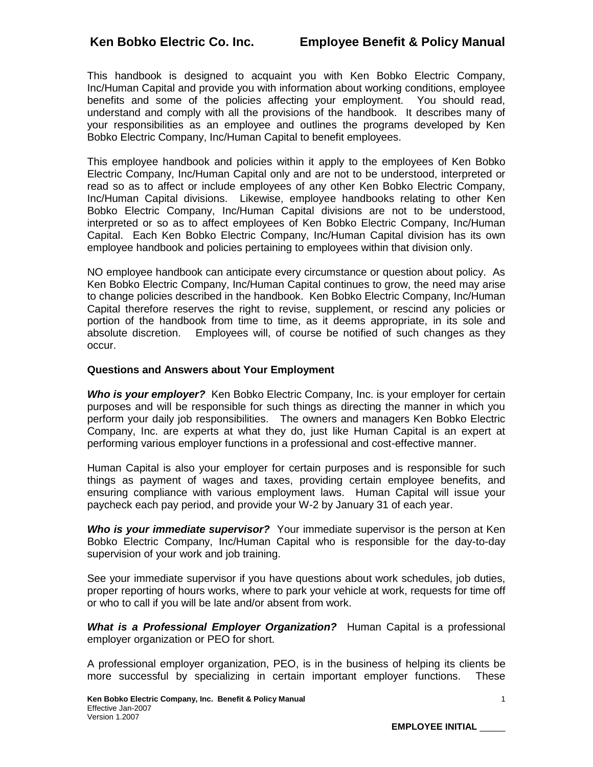This handbook is designed to acquaint you with Ken Bobko Electric Company, Inc/Human Capital and provide you with information about working conditions, employee benefits and some of the policies affecting your employment. You should read, understand and comply with all the provisions of the handbook. It describes many of your responsibilities as an employee and outlines the programs developed by Ken Bobko Electric Company, Inc/Human Capital to benefit employees.

This employee handbook and policies within it apply to the employees of Ken Bobko Electric Company, Inc/Human Capital only and are not to be understood, interpreted or read so as to affect or include employees of any other Ken Bobko Electric Company, Inc/Human Capital divisions. Likewise, employee handbooks relating to other Ken Bobko Electric Company, Inc/Human Capital divisions are not to be understood, interpreted or so as to affect employees of Ken Bobko Electric Company, Inc/Human Capital. Each Ken Bobko Electric Company, Inc/Human Capital division has its own employee handbook and policies pertaining to employees within that division only.

NO employee handbook can anticipate every circumstance or question about policy. As Ken Bobko Electric Company, Inc/Human Capital continues to grow, the need may arise to change policies described in the handbook. Ken Bobko Electric Company, Inc/Human Capital therefore reserves the right to revise, supplement, or rescind any policies or portion of the handbook from time to time, as it deems appropriate, in its sole and absolute discretion. Employees will, of course be notified of such changes as they occur.

## **Questions and Answers about Your Employment**

*Who is your employer?* Ken Bobko Electric Company, Inc. is your employer for certain purposes and will be responsible for such things as directing the manner in which you perform your daily job responsibilities. The owners and managers Ken Bobko Electric Company, Inc. are experts at what they do, just like Human Capital is an expert at performing various employer functions in a professional and cost-effective manner.

Human Capital is also your employer for certain purposes and is responsible for such things as payment of wages and taxes, providing certain employee benefits, and ensuring compliance with various employment laws. Human Capital will issue your paycheck each pay period, and provide your W-2 by January 31 of each year.

*Who is your immediate supervisor?* Your immediate supervisor is the person at Ken Bobko Electric Company, Inc/Human Capital who is responsible for the day-to-day supervision of your work and job training.

See your immediate supervisor if you have questions about work schedules, job duties, proper reporting of hours works, where to park your vehicle at work, requests for time off or who to call if you will be late and/or absent from work.

*What is a Professional Employer Organization?* Human Capital is a professional employer organization or PEO for short.

A professional employer organization, PEO, is in the business of helping its clients be more successful by specializing in certain important employer functions. These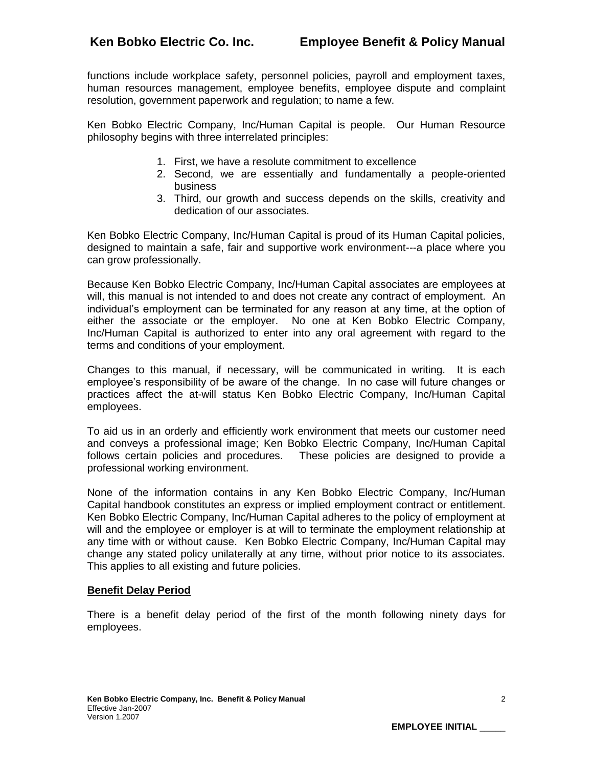functions include workplace safety, personnel policies, payroll and employment taxes, human resources management, employee benefits, employee dispute and complaint resolution, government paperwork and regulation; to name a few.

Ken Bobko Electric Company, Inc/Human Capital is people. Our Human Resource philosophy begins with three interrelated principles:

- 1. First, we have a resolute commitment to excellence
- 2. Second, we are essentially and fundamentally a people-oriented business
- 3. Third, our growth and success depends on the skills, creativity and dedication of our associates.

Ken Bobko Electric Company, Inc/Human Capital is proud of its Human Capital policies, designed to maintain a safe, fair and supportive work environment---a place where you can grow professionally.

Because Ken Bobko Electric Company, Inc/Human Capital associates are employees at will, this manual is not intended to and does not create any contract of employment. An individual's employment can be terminated for any reason at any time, at the option of either the associate or the employer. No one at Ken Bobko Electric Company, Inc/Human Capital is authorized to enter into any oral agreement with regard to the terms and conditions of your employment.

Changes to this manual, if necessary, will be communicated in writing. It is each employee's responsibility of be aware of the change. In no case will future changes or practices affect the at-will status Ken Bobko Electric Company, Inc/Human Capital employees.

To aid us in an orderly and efficiently work environment that meets our customer need and conveys a professional image; Ken Bobko Electric Company, Inc/Human Capital follows certain policies and procedures. These policies are designed to provide a professional working environment.

None of the information contains in any Ken Bobko Electric Company, Inc/Human Capital handbook constitutes an express or implied employment contract or entitlement. Ken Bobko Electric Company, Inc/Human Capital adheres to the policy of employment at will and the employee or employer is at will to terminate the employment relationship at any time with or without cause. Ken Bobko Electric Company, Inc/Human Capital may change any stated policy unilaterally at any time, without prior notice to its associates. This applies to all existing and future policies.

## **Benefit Delay Period**

There is a benefit delay period of the first of the month following ninety days for employees.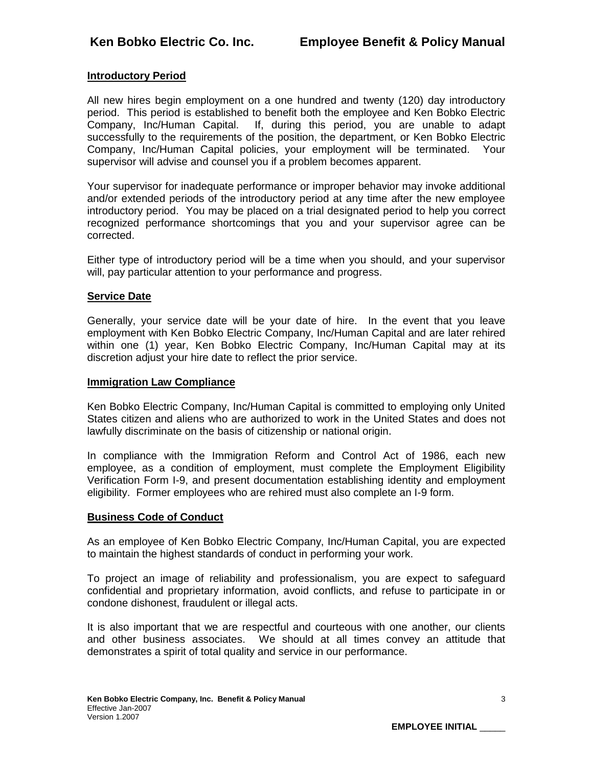## **Introductory Period**

All new hires begin employment on a one hundred and twenty (120) day introductory period. This period is established to benefit both the employee and Ken Bobko Electric Company, Inc/Human Capital. If, during this period, you are unable to adapt successfully to the requirements of the position, the department, or Ken Bobko Electric Company, Inc/Human Capital policies, your employment will be terminated. Your supervisor will advise and counsel you if a problem becomes apparent.

Your supervisor for inadequate performance or improper behavior may invoke additional and/or extended periods of the introductory period at any time after the new employee introductory period. You may be placed on a trial designated period to help you correct recognized performance shortcomings that you and your supervisor agree can be corrected.

Either type of introductory period will be a time when you should, and your supervisor will, pay particular attention to your performance and progress.

## **Service Date**

Generally, your service date will be your date of hire. In the event that you leave employment with Ken Bobko Electric Company, Inc/Human Capital and are later rehired within one (1) year, Ken Bobko Electric Company, Inc/Human Capital may at its discretion adjust your hire date to reflect the prior service.

#### **Immigration Law Compliance**

Ken Bobko Electric Company, Inc/Human Capital is committed to employing only United States citizen and aliens who are authorized to work in the United States and does not lawfully discriminate on the basis of citizenship or national origin.

In compliance with the Immigration Reform and Control Act of 1986, each new employee, as a condition of employment, must complete the Employment Eligibility Verification Form I-9, and present documentation establishing identity and employment eligibility. Former employees who are rehired must also complete an I-9 form.

## **Business Code of Conduct**

As an employee of Ken Bobko Electric Company, Inc/Human Capital, you are expected to maintain the highest standards of conduct in performing your work.

To project an image of reliability and professionalism, you are expect to safeguard confidential and proprietary information, avoid conflicts, and refuse to participate in or condone dishonest, fraudulent or illegal acts.

It is also important that we are respectful and courteous with one another, our clients and other business associates. We should at all times convey an attitude that demonstrates a spirit of total quality and service in our performance.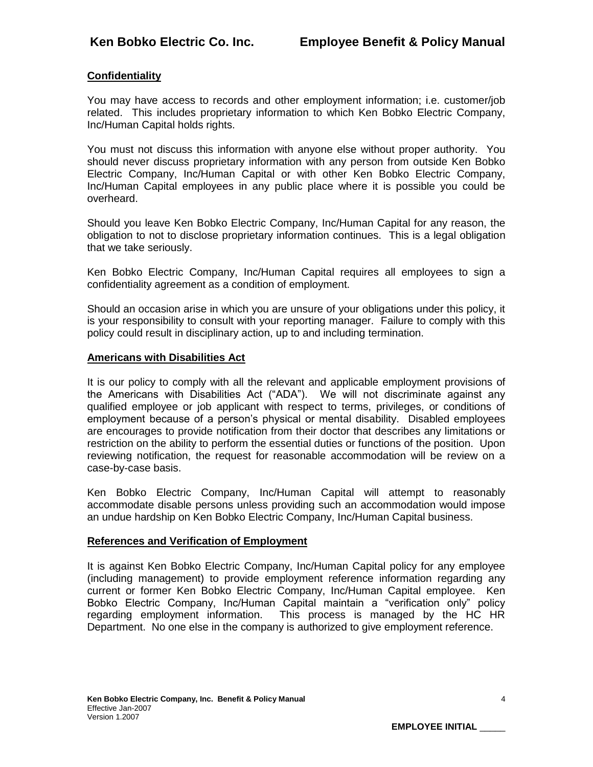# **Confidentiality**

You may have access to records and other employment information; i.e. customer/job related. This includes proprietary information to which Ken Bobko Electric Company, Inc/Human Capital holds rights.

You must not discuss this information with anyone else without proper authority. You should never discuss proprietary information with any person from outside Ken Bobko Electric Company, Inc/Human Capital or with other Ken Bobko Electric Company, Inc/Human Capital employees in any public place where it is possible you could be overheard.

Should you leave Ken Bobko Electric Company, Inc/Human Capital for any reason, the obligation to not to disclose proprietary information continues. This is a legal obligation that we take seriously.

Ken Bobko Electric Company, Inc/Human Capital requires all employees to sign a confidentiality agreement as a condition of employment.

Should an occasion arise in which you are unsure of your obligations under this policy, it is your responsibility to consult with your reporting manager. Failure to comply with this policy could result in disciplinary action, up to and including termination.

#### **Americans with Disabilities Act**

It is our policy to comply with all the relevant and applicable employment provisions of the Americans with Disabilities Act ("ADA"). We will not discriminate against any qualified employee or job applicant with respect to terms, privileges, or conditions of employment because of a person's physical or mental disability. Disabled employees are encourages to provide notification from their doctor that describes any limitations or restriction on the ability to perform the essential duties or functions of the position. Upon reviewing notification, the request for reasonable accommodation will be review on a case-by-case basis.

Ken Bobko Electric Company, Inc/Human Capital will attempt to reasonably accommodate disable persons unless providing such an accommodation would impose an undue hardship on Ken Bobko Electric Company, Inc/Human Capital business.

## **References and Verification of Employment**

It is against Ken Bobko Electric Company, Inc/Human Capital policy for any employee (including management) to provide employment reference information regarding any current or former Ken Bobko Electric Company, Inc/Human Capital employee. Ken Bobko Electric Company, Inc/Human Capital maintain a "verification only" policy regarding employment information. This process is managed by the HC HR Department. No one else in the company is authorized to give employment reference.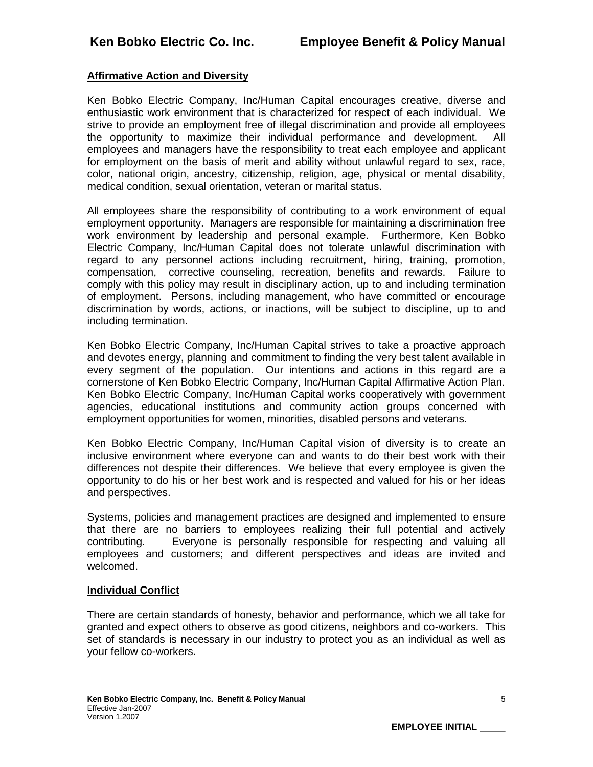# **Affirmative Action and Diversity**

Ken Bobko Electric Company, Inc/Human Capital encourages creative, diverse and enthusiastic work environment that is characterized for respect of each individual. We strive to provide an employment free of illegal discrimination and provide all employees the opportunity to maximize their individual performance and development. All employees and managers have the responsibility to treat each employee and applicant for employment on the basis of merit and ability without unlawful regard to sex, race, color, national origin, ancestry, citizenship, religion, age, physical or mental disability, medical condition, sexual orientation, veteran or marital status.

All employees share the responsibility of contributing to a work environment of equal employment opportunity. Managers are responsible for maintaining a discrimination free work environment by leadership and personal example. Furthermore, Ken Bobko Electric Company, Inc/Human Capital does not tolerate unlawful discrimination with regard to any personnel actions including recruitment, hiring, training, promotion, compensation, corrective counseling, recreation, benefits and rewards. Failure to comply with this policy may result in disciplinary action, up to and including termination of employment. Persons, including management, who have committed or encourage discrimination by words, actions, or inactions, will be subject to discipline, up to and including termination.

Ken Bobko Electric Company, Inc/Human Capital strives to take a proactive approach and devotes energy, planning and commitment to finding the very best talent available in every segment of the population. Our intentions and actions in this regard are a cornerstone of Ken Bobko Electric Company, Inc/Human Capital Affirmative Action Plan. Ken Bobko Electric Company, Inc/Human Capital works cooperatively with government agencies, educational institutions and community action groups concerned with employment opportunities for women, minorities, disabled persons and veterans.

Ken Bobko Electric Company, Inc/Human Capital vision of diversity is to create an inclusive environment where everyone can and wants to do their best work with their differences not despite their differences. We believe that every employee is given the opportunity to do his or her best work and is respected and valued for his or her ideas and perspectives.

Systems, policies and management practices are designed and implemented to ensure that there are no barriers to employees realizing their full potential and actively contributing. Everyone is personally responsible for respecting and valuing all employees and customers; and different perspectives and ideas are invited and welcomed.

## **Individual Conflict**

There are certain standards of honesty, behavior and performance, which we all take for granted and expect others to observe as good citizens, neighbors and co-workers. This set of standards is necessary in our industry to protect you as an individual as well as your fellow co-workers.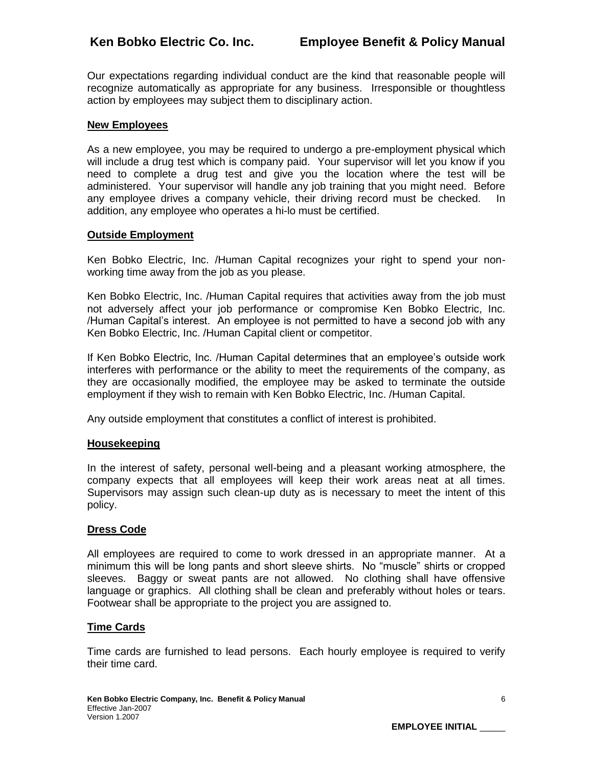Our expectations regarding individual conduct are the kind that reasonable people will recognize automatically as appropriate for any business. Irresponsible or thoughtless action by employees may subject them to disciplinary action.

## **New Employees**

As a new employee, you may be required to undergo a pre-employment physical which will include a drug test which is company paid. Your supervisor will let you know if you need to complete a drug test and give you the location where the test will be administered. Your supervisor will handle any job training that you might need. Before any employee drives a company vehicle, their driving record must be checked. In addition, any employee who operates a hi-lo must be certified.

#### **Outside Employment**

Ken Bobko Electric, Inc. /Human Capital recognizes your right to spend your nonworking time away from the job as you please.

Ken Bobko Electric, Inc. /Human Capital requires that activities away from the job must not adversely affect your job performance or compromise Ken Bobko Electric, Inc. /Human Capital's interest. An employee is not permitted to have a second job with any Ken Bobko Electric, Inc. /Human Capital client or competitor.

If Ken Bobko Electric, Inc. /Human Capital determines that an employee's outside work interferes with performance or the ability to meet the requirements of the company, as they are occasionally modified, the employee may be asked to terminate the outside employment if they wish to remain with Ken Bobko Electric, Inc. /Human Capital.

Any outside employment that constitutes a conflict of interest is prohibited.

#### **Housekeeping**

In the interest of safety, personal well-being and a pleasant working atmosphere, the company expects that all employees will keep their work areas neat at all times. Supervisors may assign such clean-up duty as is necessary to meet the intent of this policy.

#### **Dress Code**

All employees are required to come to work dressed in an appropriate manner. At a minimum this will be long pants and short sleeve shirts. No "muscle" shirts or cropped sleeves. Baggy or sweat pants are not allowed. No clothing shall have offensive language or graphics. All clothing shall be clean and preferably without holes or tears. Footwear shall be appropriate to the project you are assigned to.

## **Time Cards**

Time cards are furnished to lead persons. Each hourly employee is required to verify their time card.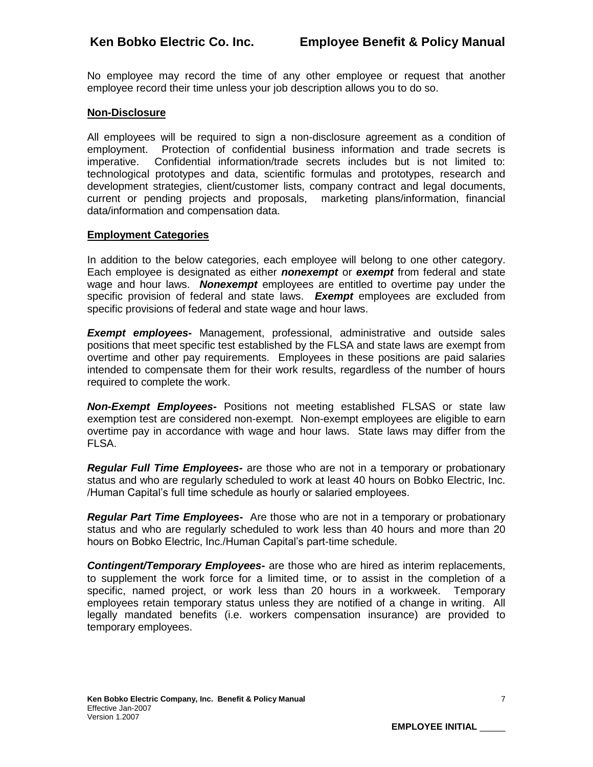No employee may record the time of any other employee or request that another employee record their time unless your job description allows you to do so.

## **Non-Disclosure**

All employees will be required to sign a non-disclosure agreement as a condition of employment. Protection of confidential business information and trade secrets is imperative. Confidential information/trade secrets includes but is not limited to: technological prototypes and data, scientific formulas and prototypes, research and development strategies, client/customer lists, company contract and legal documents, current or pending projects and proposals, marketing plans/information, financial data/information and compensation data.

#### **Employment Categories**

In addition to the below categories, each employee will belong to one other category. Each employee is designated as either *nonexempt* or *exempt* from federal and state wage and hour laws. *Nonexempt* employees are entitled to overtime pay under the specific provision of federal and state laws. *Exempt* employees are excluded from specific provisions of federal and state wage and hour laws.

*Exempt employees***-** Management, professional, administrative and outside sales positions that meet specific test established by the FLSA and state laws are exempt from overtime and other pay requirements. Employees in these positions are paid salaries intended to compensate them for their work results, regardless of the number of hours required to complete the work.

*Non-Exempt Employees***-** Positions not meeting established FLSAS or state law exemption test are considered non-exempt. Non-exempt employees are eligible to earn overtime pay in accordance with wage and hour laws. State laws may differ from the FLSA.

*Regular Full Time Employees***-** are those who are not in a temporary or probationary status and who are regularly scheduled to work at least 40 hours on Bobko Electric, Inc. /Human Capital's full time schedule as hourly or salaried employees.

*Regular Part Time Employees***-** Are those who are not in a temporary or probationary status and who are regularly scheduled to work less than 40 hours and more than 20 hours on Bobko Electric, Inc./Human Capital's part-time schedule.

*Contingent/Temporary Employees***-** are those who are hired as interim replacements, to supplement the work force for a limited time, or to assist in the completion of a specific, named project, or work less than 20 hours in a workweek. Temporary employees retain temporary status unless they are notified of a change in writing. All legally mandated benefits (i.e. workers compensation insurance) are provided to temporary employees.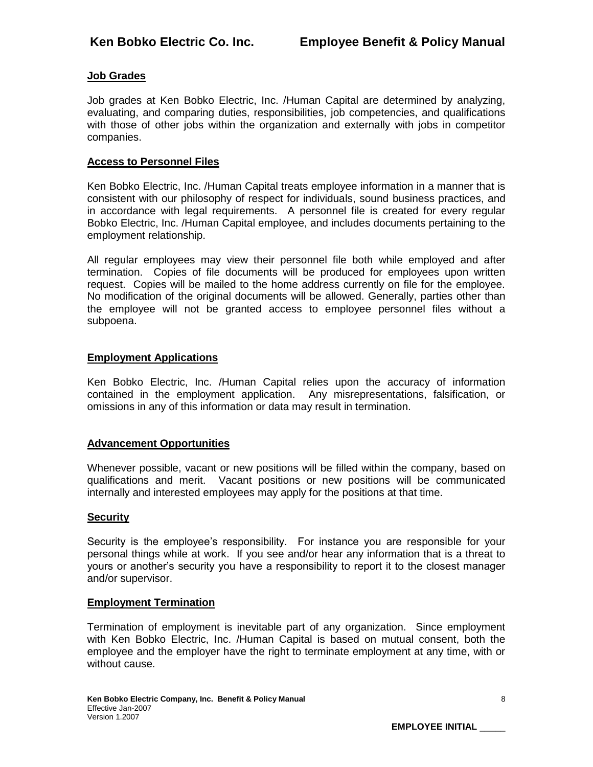# **Job Grades**

Job grades at Ken Bobko Electric, Inc. /Human Capital are determined by analyzing, evaluating, and comparing duties, responsibilities, job competencies, and qualifications with those of other jobs within the organization and externally with jobs in competitor companies.

#### **Access to Personnel Files**

Ken Bobko Electric, Inc. /Human Capital treats employee information in a manner that is consistent with our philosophy of respect for individuals, sound business practices, and in accordance with legal requirements. A personnel file is created for every regular Bobko Electric, Inc. /Human Capital employee, and includes documents pertaining to the employment relationship.

All regular employees may view their personnel file both while employed and after termination. Copies of file documents will be produced for employees upon written request. Copies will be mailed to the home address currently on file for the employee. No modification of the original documents will be allowed. Generally, parties other than the employee will not be granted access to employee personnel files without a subpoena.

#### **Employment Applications**

Ken Bobko Electric, Inc. /Human Capital relies upon the accuracy of information contained in the employment application. Any misrepresentations, falsification, or omissions in any of this information or data may result in termination.

## **Advancement Opportunities**

Whenever possible, vacant or new positions will be filled within the company, based on qualifications and merit. Vacant positions or new positions will be communicated internally and interested employees may apply for the positions at that time.

#### **Security**

Security is the employee's responsibility. For instance you are responsible for your personal things while at work. If you see and/or hear any information that is a threat to yours or another's security you have a responsibility to report it to the closest manager and/or supervisor.

#### **Employment Termination**

Termination of employment is inevitable part of any organization. Since employment with Ken Bobko Electric, Inc. /Human Capital is based on mutual consent, both the employee and the employer have the right to terminate employment at any time, with or without cause.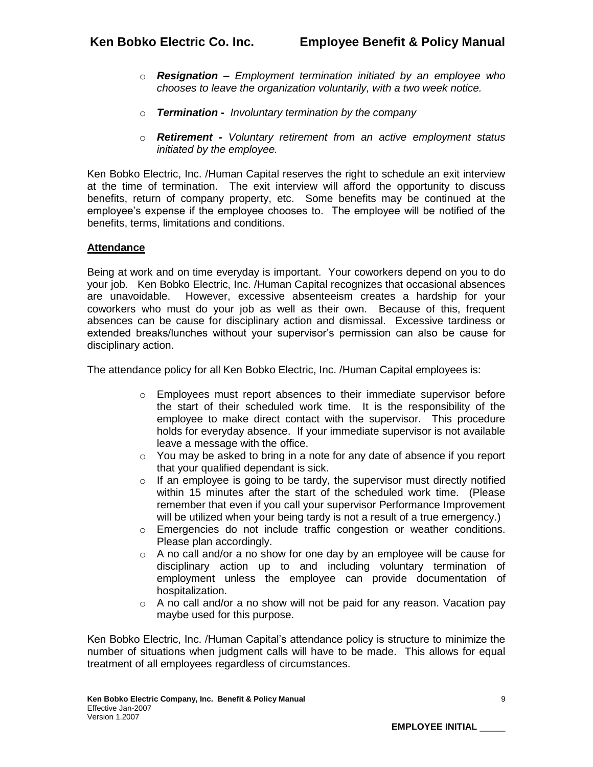- o *Resignation* **–** *Employment termination initiated by an employee who chooses to leave the organization voluntarily, with a two week notice.*
- o *Termination* **-** *Involuntary termination by the company*
- o *Retirement* **-** *Voluntary retirement from an active employment status initiated by the employee.*

Ken Bobko Electric, Inc. /Human Capital reserves the right to schedule an exit interview at the time of termination. The exit interview will afford the opportunity to discuss benefits, return of company property, etc. Some benefits may be continued at the employee's expense if the employee chooses to. The employee will be notified of the benefits, terms, limitations and conditions.

# **Attendance**

Being at work and on time everyday is important. Your coworkers depend on you to do your job. Ken Bobko Electric, Inc. /Human Capital recognizes that occasional absences are unavoidable. However, excessive absenteeism creates a hardship for your coworkers who must do your job as well as their own. Because of this, frequent absences can be cause for disciplinary action and dismissal. Excessive tardiness or extended breaks/lunches without your supervisor's permission can also be cause for disciplinary action.

The attendance policy for all Ken Bobko Electric, Inc. /Human Capital employees is:

- o Employees must report absences to their immediate supervisor before the start of their scheduled work time. It is the responsibility of the employee to make direct contact with the supervisor. This procedure holds for everyday absence. If your immediate supervisor is not available leave a message with the office.
- $\circ$  You may be asked to bring in a note for any date of absence if you report that your qualified dependant is sick.
- $\circ$  If an employee is going to be tardy, the supervisor must directly notified within 15 minutes after the start of the scheduled work time. (Please remember that even if you call your supervisor Performance Improvement will be utilized when your being tardy is not a result of a true emergency.)
- $\circ$  Emergencies do not include traffic congestion or weather conditions. Please plan accordingly.
- $\circ$  A no call and/or a no show for one day by an employee will be cause for disciplinary action up to and including voluntary termination of employment unless the employee can provide documentation of hospitalization.
- o A no call and/or a no show will not be paid for any reason. Vacation pay maybe used for this purpose.

Ken Bobko Electric, Inc. /Human Capital's attendance policy is structure to minimize the number of situations when judgment calls will have to be made. This allows for equal treatment of all employees regardless of circumstances.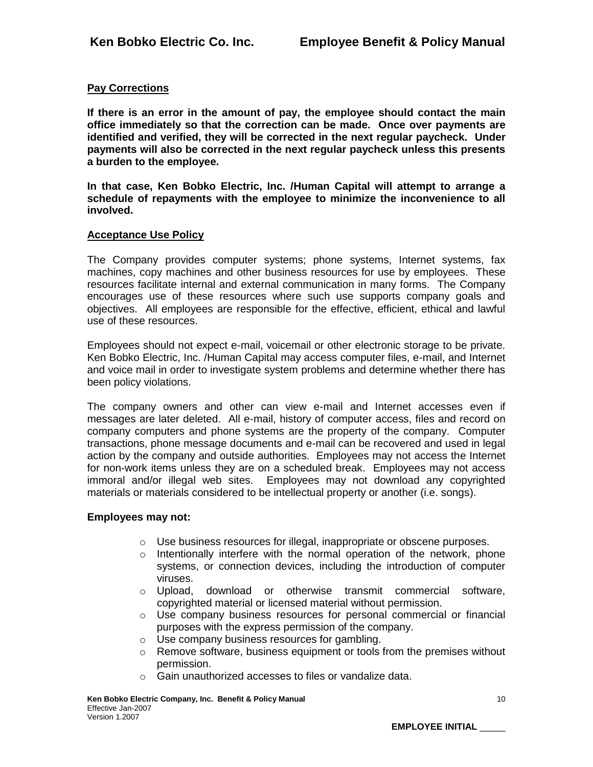# **Pay Corrections**

**If there is an error in the amount of pay, the employee should contact the main office immediately so that the correction can be made. Once over payments are identified and verified, they will be corrected in the next regular paycheck. Under payments will also be corrected in the next regular paycheck unless this presents a burden to the employee.**

**In that case, Ken Bobko Electric, Inc. /Human Capital will attempt to arrange a schedule of repayments with the employee to minimize the inconvenience to all involved.**

#### **Acceptance Use Policy**

The Company provides computer systems; phone systems, Internet systems, fax machines, copy machines and other business resources for use by employees. These resources facilitate internal and external communication in many forms. The Company encourages use of these resources where such use supports company goals and objectives. All employees are responsible for the effective, efficient, ethical and lawful use of these resources.

Employees should not expect e-mail, voicemail or other electronic storage to be private. Ken Bobko Electric, Inc. /Human Capital may access computer files, e-mail, and Internet and voice mail in order to investigate system problems and determine whether there has been policy violations.

The company owners and other can view e-mail and Internet accesses even if messages are later deleted. All e-mail, history of computer access, files and record on company computers and phone systems are the property of the company. Computer transactions, phone message documents and e-mail can be recovered and used in legal action by the company and outside authorities. Employees may not access the Internet for non-work items unless they are on a scheduled break. Employees may not access immoral and/or illegal web sites. Employees may not download any copyrighted materials or materials considered to be intellectual property or another (i.e. songs).

#### **Employees may not:**

- o Use business resources for illegal, inappropriate or obscene purposes.
- o Intentionally interfere with the normal operation of the network, phone systems, or connection devices, including the introduction of computer viruses.
- o Upload, download or otherwise transmit commercial software, copyrighted material or licensed material without permission.
- $\circ$  Use company business resources for personal commercial or financial purposes with the express permission of the company.
- o Use company business resources for gambling.
- $\circ$  Remove software, business equipment or tools from the premises without permission.
- o Gain unauthorized accesses to files or vandalize data.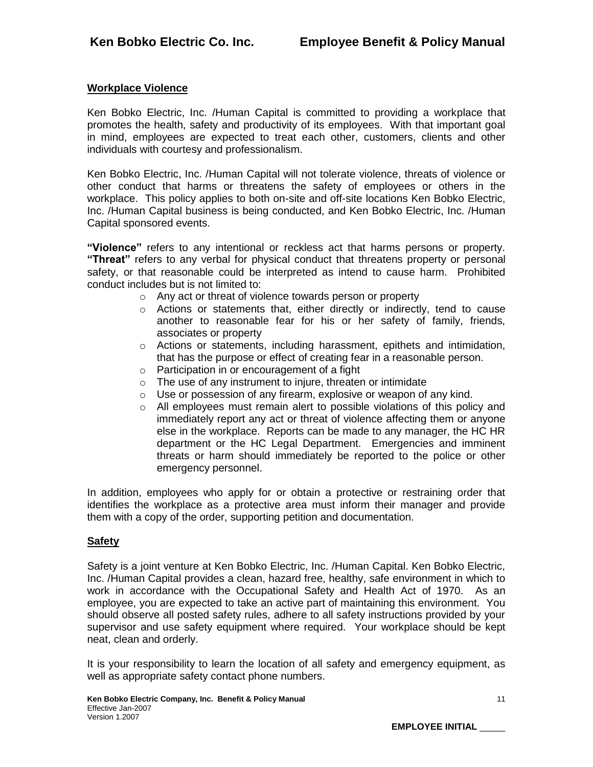# **Workplace Violence**

Ken Bobko Electric, Inc. /Human Capital is committed to providing a workplace that promotes the health, safety and productivity of its employees. With that important goal in mind, employees are expected to treat each other, customers, clients and other individuals with courtesy and professionalism.

Ken Bobko Electric, Inc. /Human Capital will not tolerate violence, threats of violence or other conduct that harms or threatens the safety of employees or others in the workplace. This policy applies to both on-site and off-site locations Ken Bobko Electric, Inc. /Human Capital business is being conducted, and Ken Bobko Electric, Inc. /Human Capital sponsored events.

**"Violence"** refers to any intentional or reckless act that harms persons or property. **"Threat"** refers to any verbal for physical conduct that threatens property or personal safety, or that reasonable could be interpreted as intend to cause harm. Prohibited conduct includes but is not limited to:

- o Any act or threat of violence towards person or property
- $\circ$  Actions or statements that, either directly or indirectly, tend to cause another to reasonable fear for his or her safety of family, friends, associates or property
- $\circ$  Actions or statements, including harassment, epithets and intimidation, that has the purpose or effect of creating fear in a reasonable person.
- o Participation in or encouragement of a fight
- $\circ$  The use of any instrument to injure, threaten or intimidate
- o Use or possession of any firearm, explosive or weapon of any kind.
- $\circ$  All employees must remain alert to possible violations of this policy and immediately report any act or threat of violence affecting them or anyone else in the workplace. Reports can be made to any manager, the HC HR department or the HC Legal Department. Emergencies and imminent threats or harm should immediately be reported to the police or other emergency personnel.

In addition, employees who apply for or obtain a protective or restraining order that identifies the workplace as a protective area must inform their manager and provide them with a copy of the order, supporting petition and documentation.

## **Safety**

Safety is a joint venture at Ken Bobko Electric, Inc. /Human Capital. Ken Bobko Electric, Inc. /Human Capital provides a clean, hazard free, healthy, safe environment in which to work in accordance with the Occupational Safety and Health Act of 1970. As an employee, you are expected to take an active part of maintaining this environment. You should observe all posted safety rules, adhere to all safety instructions provided by your supervisor and use safety equipment where required. Your workplace should be kept neat, clean and orderly.

It is your responsibility to learn the location of all safety and emergency equipment, as well as appropriate safety contact phone numbers.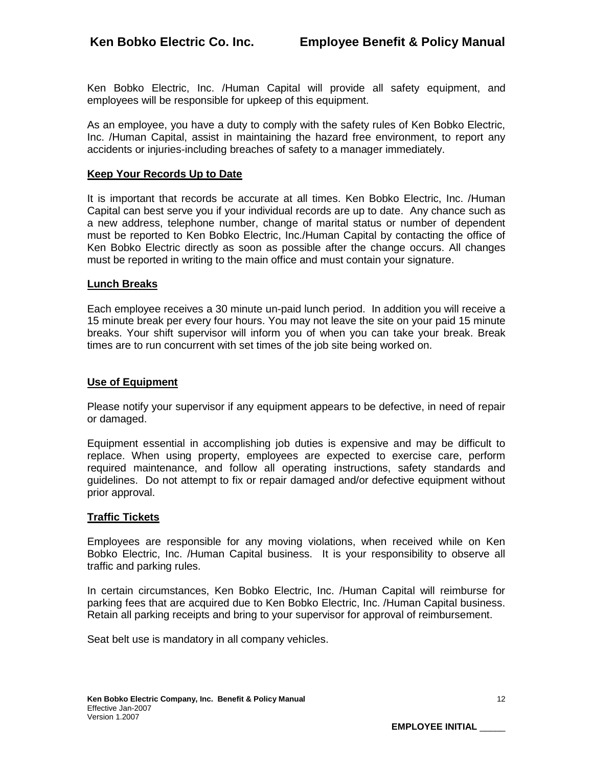Ken Bobko Electric, Inc. /Human Capital will provide all safety equipment, and employees will be responsible for upkeep of this equipment.

As an employee, you have a duty to comply with the safety rules of Ken Bobko Electric, Inc. /Human Capital, assist in maintaining the hazard free environment, to report any accidents or injuries-including breaches of safety to a manager immediately.

#### **Keep Your Records Up to Date**

It is important that records be accurate at all times. Ken Bobko Electric, Inc. /Human Capital can best serve you if your individual records are up to date. Any chance such as a new address, telephone number, change of marital status or number of dependent must be reported to Ken Bobko Electric, Inc./Human Capital by contacting the office of Ken Bobko Electric directly as soon as possible after the change occurs. All changes must be reported in writing to the main office and must contain your signature.

#### **Lunch Breaks**

Each employee receives a 30 minute un-paid lunch period. In addition you will receive a 15 minute break per every four hours. You may not leave the site on your paid 15 minute breaks. Your shift supervisor will inform you of when you can take your break. Break times are to run concurrent with set times of the job site being worked on.

#### **Use of Equipment**

Please notify your supervisor if any equipment appears to be defective, in need of repair or damaged.

Equipment essential in accomplishing job duties is expensive and may be difficult to replace. When using property, employees are expected to exercise care, perform required maintenance, and follow all operating instructions, safety standards and guidelines. Do not attempt to fix or repair damaged and/or defective equipment without prior approval.

#### **Traffic Tickets**

Employees are responsible for any moving violations, when received while on Ken Bobko Electric, Inc. /Human Capital business. It is your responsibility to observe all traffic and parking rules.

In certain circumstances, Ken Bobko Electric, Inc. /Human Capital will reimburse for parking fees that are acquired due to Ken Bobko Electric, Inc. /Human Capital business. Retain all parking receipts and bring to your supervisor for approval of reimbursement.

Seat belt use is mandatory in all company vehicles.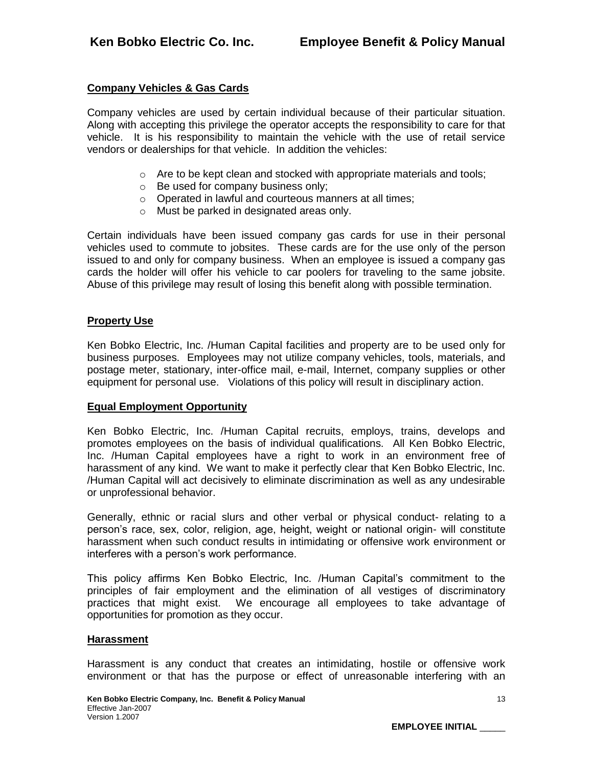# **Company Vehicles & Gas Cards**

Company vehicles are used by certain individual because of their particular situation. Along with accepting this privilege the operator accepts the responsibility to care for that vehicle. It is his responsibility to maintain the vehicle with the use of retail service vendors or dealerships for that vehicle. In addition the vehicles:

- $\circ$  Are to be kept clean and stocked with appropriate materials and tools;
- o Be used for company business only;
- o Operated in lawful and courteous manners at all times;
- o Must be parked in designated areas only.

Certain individuals have been issued company gas cards for use in their personal vehicles used to commute to jobsites. These cards are for the use only of the person issued to and only for company business. When an employee is issued a company gas cards the holder will offer his vehicle to car poolers for traveling to the same jobsite. Abuse of this privilege may result of losing this benefit along with possible termination.

#### **Property Use**

Ken Bobko Electric, Inc. /Human Capital facilities and property are to be used only for business purposes. Employees may not utilize company vehicles, tools, materials, and postage meter, stationary, inter-office mail, e-mail, Internet, company supplies or other equipment for personal use. Violations of this policy will result in disciplinary action.

#### **Equal Employment Opportunity**

Ken Bobko Electric, Inc. /Human Capital recruits, employs, trains, develops and promotes employees on the basis of individual qualifications. All Ken Bobko Electric, Inc. /Human Capital employees have a right to work in an environment free of harassment of any kind. We want to make it perfectly clear that Ken Bobko Electric, Inc. /Human Capital will act decisively to eliminate discrimination as well as any undesirable or unprofessional behavior.

Generally, ethnic or racial slurs and other verbal or physical conduct- relating to a person's race, sex, color, religion, age, height, weight or national origin- will constitute harassment when such conduct results in intimidating or offensive work environment or interferes with a person's work performance.

This policy affirms Ken Bobko Electric, Inc. /Human Capital's commitment to the principles of fair employment and the elimination of all vestiges of discriminatory practices that might exist. We encourage all employees to take advantage of opportunities for promotion as they occur.

#### **Harassment**

Harassment is any conduct that creates an intimidating, hostile or offensive work environment or that has the purpose or effect of unreasonable interfering with an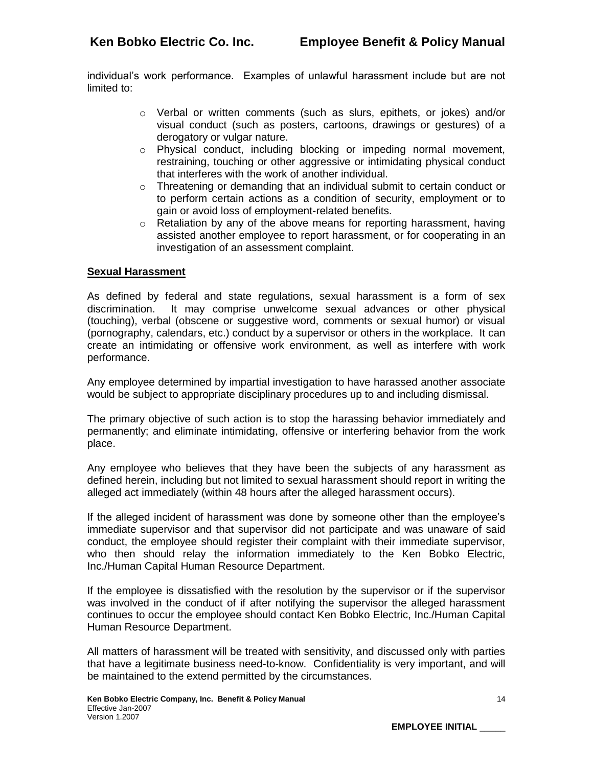individual's work performance. Examples of unlawful harassment include but are not limited to:

- o Verbal or written comments (such as slurs, epithets, or jokes) and/or visual conduct (such as posters, cartoons, drawings or gestures) of a derogatory or vulgar nature.
- o Physical conduct, including blocking or impeding normal movement, restraining, touching or other aggressive or intimidating physical conduct that interferes with the work of another individual.
- $\circ$  Threatening or demanding that an individual submit to certain conduct or to perform certain actions as a condition of security, employment or to gain or avoid loss of employment-related benefits.
- $\circ$  Retaliation by any of the above means for reporting harassment, having assisted another employee to report harassment, or for cooperating in an investigation of an assessment complaint.

## **Sexual Harassment**

As defined by federal and state regulations, sexual harassment is a form of sex discrimination. It may comprise unwelcome sexual advances or other physical (touching), verbal (obscene or suggestive word, comments or sexual humor) or visual (pornography, calendars, etc.) conduct by a supervisor or others in the workplace. It can create an intimidating or offensive work environment, as well as interfere with work performance.

Any employee determined by impartial investigation to have harassed another associate would be subject to appropriate disciplinary procedures up to and including dismissal.

The primary objective of such action is to stop the harassing behavior immediately and permanently; and eliminate intimidating, offensive or interfering behavior from the work place.

Any employee who believes that they have been the subjects of any harassment as defined herein, including but not limited to sexual harassment should report in writing the alleged act immediately (within 48 hours after the alleged harassment occurs).

If the alleged incident of harassment was done by someone other than the employee's immediate supervisor and that supervisor did not participate and was unaware of said conduct, the employee should register their complaint with their immediate supervisor, who then should relay the information immediately to the Ken Bobko Electric, Inc./Human Capital Human Resource Department.

If the employee is dissatisfied with the resolution by the supervisor or if the supervisor was involved in the conduct of if after notifying the supervisor the alleged harassment continues to occur the employee should contact Ken Bobko Electric, Inc./Human Capital Human Resource Department.

All matters of harassment will be treated with sensitivity, and discussed only with parties that have a legitimate business need-to-know. Confidentiality is very important, and will be maintained to the extend permitted by the circumstances.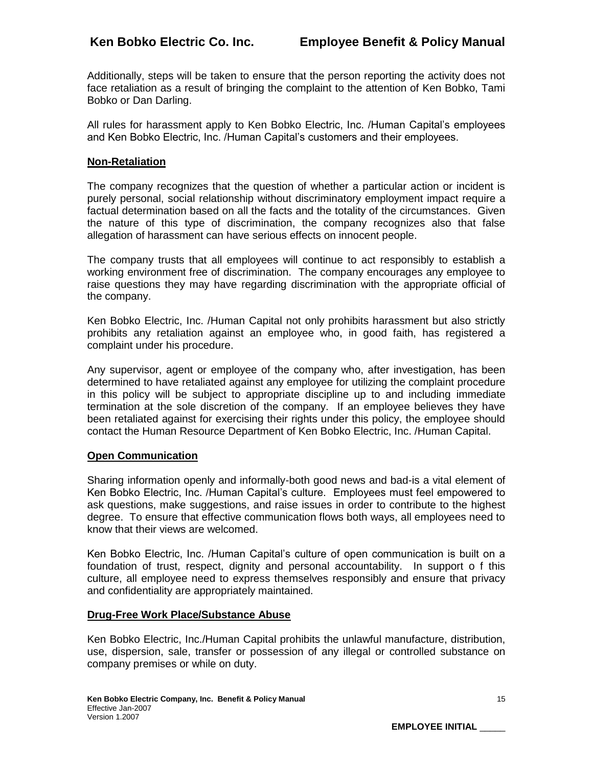Additionally, steps will be taken to ensure that the person reporting the activity does not face retaliation as a result of bringing the complaint to the attention of Ken Bobko, Tami Bobko or Dan Darling.

All rules for harassment apply to Ken Bobko Electric, Inc. /Human Capital's employees and Ken Bobko Electric, Inc. /Human Capital's customers and their employees.

#### **Non-Retaliation**

The company recognizes that the question of whether a particular action or incident is purely personal, social relationship without discriminatory employment impact require a factual determination based on all the facts and the totality of the circumstances. Given the nature of this type of discrimination, the company recognizes also that false allegation of harassment can have serious effects on innocent people.

The company trusts that all employees will continue to act responsibly to establish a working environment free of discrimination. The company encourages any employee to raise questions they may have regarding discrimination with the appropriate official of the company.

Ken Bobko Electric, Inc. /Human Capital not only prohibits harassment but also strictly prohibits any retaliation against an employee who, in good faith, has registered a complaint under his procedure.

Any supervisor, agent or employee of the company who, after investigation, has been determined to have retaliated against any employee for utilizing the complaint procedure in this policy will be subject to appropriate discipline up to and including immediate termination at the sole discretion of the company. If an employee believes they have been retaliated against for exercising their rights under this policy, the employee should contact the Human Resource Department of Ken Bobko Electric, Inc. /Human Capital.

#### **Open Communication**

Sharing information openly and informally-both good news and bad-is a vital element of Ken Bobko Electric, Inc. /Human Capital's culture. Employees must feel empowered to ask questions, make suggestions, and raise issues in order to contribute to the highest degree. To ensure that effective communication flows both ways, all employees need to know that their views are welcomed.

Ken Bobko Electric, Inc. /Human Capital's culture of open communication is built on a foundation of trust, respect, dignity and personal accountability. In support o f this culture, all employee need to express themselves responsibly and ensure that privacy and confidentiality are appropriately maintained.

#### **Drug-Free Work Place/Substance Abuse**

Ken Bobko Electric, Inc./Human Capital prohibits the unlawful manufacture, distribution, use, dispersion, sale, transfer or possession of any illegal or controlled substance on company premises or while on duty.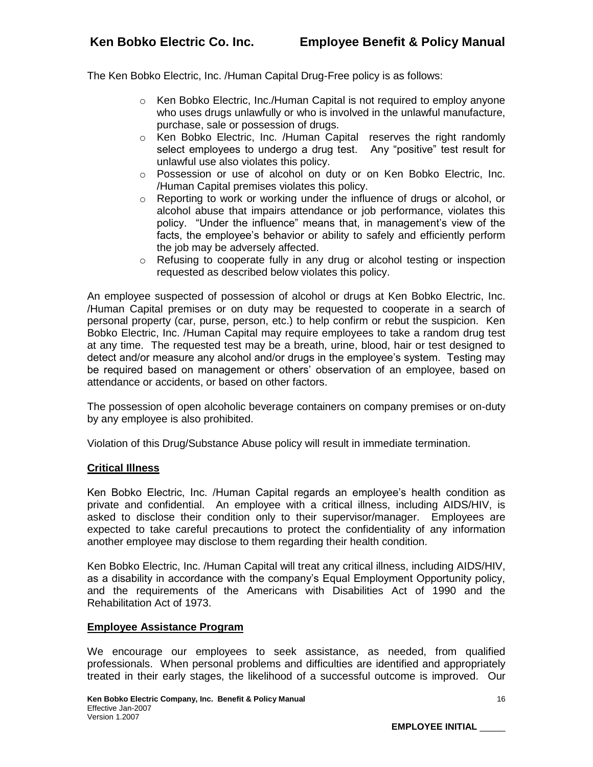The Ken Bobko Electric, Inc. /Human Capital Drug-Free policy is as follows:

- $\circ$  Ken Bobko Electric, Inc./Human Capital is not required to employ anyone who uses drugs unlawfully or who is involved in the unlawful manufacture, purchase, sale or possession of drugs.
- o Ken Bobko Electric, Inc. /Human Capital reserves the right randomly select employees to undergo a drug test. Any "positive" test result for unlawful use also violates this policy.
- o Possession or use of alcohol on duty or on Ken Bobko Electric, Inc. /Human Capital premises violates this policy.
- $\circ$  Reporting to work or working under the influence of drugs or alcohol, or alcohol abuse that impairs attendance or job performance, violates this policy. "Under the influence" means that, in management's view of the facts, the employee's behavior or ability to safely and efficiently perform the job may be adversely affected.
- $\circ$  Refusing to cooperate fully in any drug or alcohol testing or inspection requested as described below violates this policy.

An employee suspected of possession of alcohol or drugs at Ken Bobko Electric, Inc. /Human Capital premises or on duty may be requested to cooperate in a search of personal property (car, purse, person, etc.) to help confirm or rebut the suspicion. Ken Bobko Electric, Inc. /Human Capital may require employees to take a random drug test at any time. The requested test may be a breath, urine, blood, hair or test designed to detect and/or measure any alcohol and/or drugs in the employee's system. Testing may be required based on management or others' observation of an employee, based on attendance or accidents, or based on other factors.

The possession of open alcoholic beverage containers on company premises or on-duty by any employee is also prohibited.

Violation of this Drug/Substance Abuse policy will result in immediate termination.

## **Critical Illness**

Ken Bobko Electric, Inc. /Human Capital regards an employee's health condition as private and confidential. An employee with a critical illness, including AIDS/HIV, is asked to disclose their condition only to their supervisor/manager. Employees are expected to take careful precautions to protect the confidentiality of any information another employee may disclose to them regarding their health condition.

Ken Bobko Electric, Inc. /Human Capital will treat any critical illness, including AIDS/HIV, as a disability in accordance with the company's Equal Employment Opportunity policy, and the requirements of the Americans with Disabilities Act of 1990 and the Rehabilitation Act of 1973.

## **Employee Assistance Program**

We encourage our employees to seek assistance, as needed, from qualified professionals. When personal problems and difficulties are identified and appropriately treated in their early stages, the likelihood of a successful outcome is improved. Our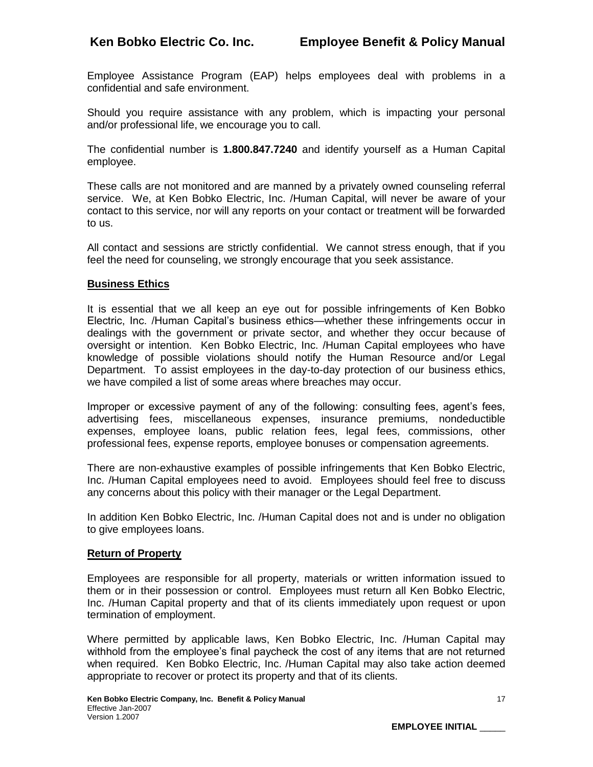Employee Assistance Program (EAP) helps employees deal with problems in a confidential and safe environment.

Should you require assistance with any problem, which is impacting your personal and/or professional life, we encourage you to call.

The confidential number is **1.800.847.7240** and identify yourself as a Human Capital employee.

These calls are not monitored and are manned by a privately owned counseling referral service. We, at Ken Bobko Electric, Inc. /Human Capital, will never be aware of your contact to this service, nor will any reports on your contact or treatment will be forwarded to us.

All contact and sessions are strictly confidential. We cannot stress enough, that if you feel the need for counseling, we strongly encourage that you seek assistance.

## **Business Ethics**

It is essential that we all keep an eye out for possible infringements of Ken Bobko Electric, Inc. /Human Capital's business ethics—whether these infringements occur in dealings with the government or private sector, and whether they occur because of oversight or intention. Ken Bobko Electric, Inc. /Human Capital employees who have knowledge of possible violations should notify the Human Resource and/or Legal Department. To assist employees in the day-to-day protection of our business ethics, we have compiled a list of some areas where breaches may occur.

Improper or excessive payment of any of the following: consulting fees, agent's fees, advertising fees, miscellaneous expenses, insurance premiums, nondeductible expenses, employee loans, public relation fees, legal fees, commissions, other professional fees, expense reports, employee bonuses or compensation agreements.

There are non-exhaustive examples of possible infringements that Ken Bobko Electric, Inc. /Human Capital employees need to avoid. Employees should feel free to discuss any concerns about this policy with their manager or the Legal Department.

In addition Ken Bobko Electric, Inc. /Human Capital does not and is under no obligation to give employees loans.

## **Return of Property**

Employees are responsible for all property, materials or written information issued to them or in their possession or control. Employees must return all Ken Bobko Electric, Inc. /Human Capital property and that of its clients immediately upon request or upon termination of employment.

Where permitted by applicable laws, Ken Bobko Electric, Inc. /Human Capital may withhold from the employee's final paycheck the cost of any items that are not returned when required. Ken Bobko Electric, Inc. /Human Capital may also take action deemed appropriate to recover or protect its property and that of its clients.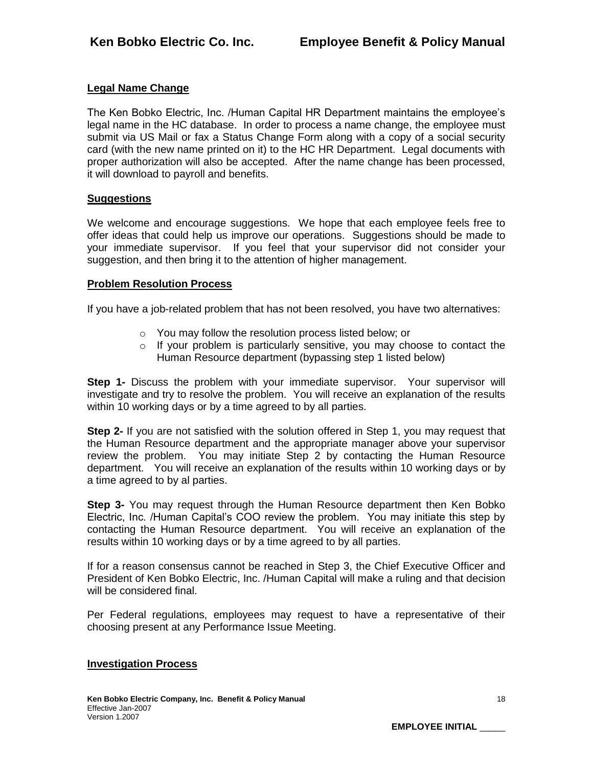# **Legal Name Change**

The Ken Bobko Electric, Inc. /Human Capital HR Department maintains the employee's legal name in the HC database. In order to process a name change, the employee must submit via US Mail or fax a Status Change Form along with a copy of a social security card (with the new name printed on it) to the HC HR Department. Legal documents with proper authorization will also be accepted. After the name change has been processed, it will download to payroll and benefits.

## **Suggestions**

We welcome and encourage suggestions. We hope that each employee feels free to offer ideas that could help us improve our operations. Suggestions should be made to your immediate supervisor. If you feel that your supervisor did not consider your suggestion, and then bring it to the attention of higher management.

#### **Problem Resolution Process**

If you have a job-related problem that has not been resolved, you have two alternatives:

- o You may follow the resolution process listed below; or
- $\circ$  If your problem is particularly sensitive, you may choose to contact the Human Resource department (bypassing step 1 listed below)

**Step 1-** Discuss the problem with your immediate supervisor. Your supervisor will investigate and try to resolve the problem. You will receive an explanation of the results within 10 working days or by a time agreed to by all parties.

**Step 2-** If you are not satisfied with the solution offered in Step 1, you may request that the Human Resource department and the appropriate manager above your supervisor review the problem. You may initiate Step 2 by contacting the Human Resource department. You will receive an explanation of the results within 10 working days or by a time agreed to by al parties.

**Step 3-** You may request through the Human Resource department then Ken Bobko Electric, Inc. /Human Capital's COO review the problem. You may initiate this step by contacting the Human Resource department. You will receive an explanation of the results within 10 working days or by a time agreed to by all parties.

If for a reason consensus cannot be reached in Step 3, the Chief Executive Officer and President of Ken Bobko Electric, Inc. /Human Capital will make a ruling and that decision will be considered final.

Per Federal regulations, employees may request to have a representative of their choosing present at any Performance Issue Meeting.

## **Investigation Process**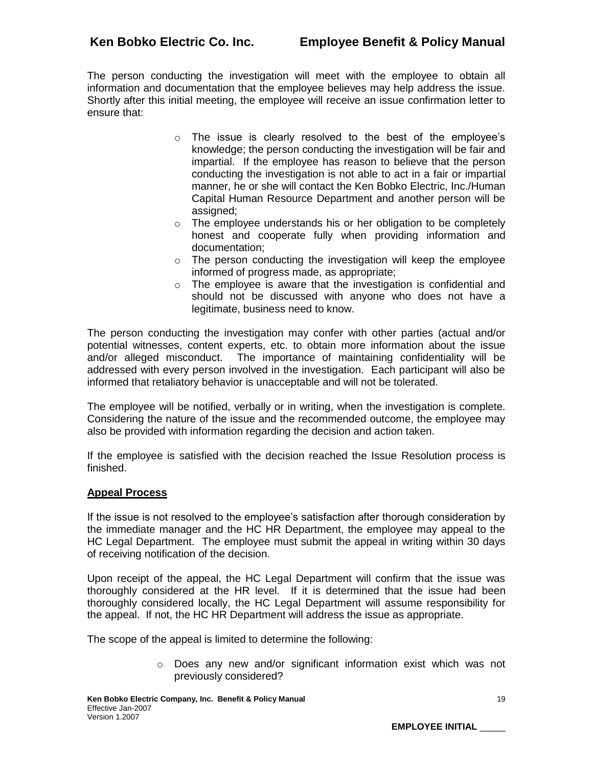The person conducting the investigation will meet with the employee to obtain all information and documentation that the employee believes may help address the issue. Shortly after this initial meeting, the employee will receive an issue confirmation letter to ensure that:

- o The issue is clearly resolved to the best of the employee's knowledge; the person conducting the investigation will be fair and impartial. If the employee has reason to believe that the person conducting the investigation is not able to act in a fair or impartial manner, he or she will contact the Ken Bobko Electric, Inc./Human Capital Human Resource Department and another person will be assigned;
- o The employee understands his or her obligation to be completely honest and cooperate fully when providing information and documentation;
- o The person conducting the investigation will keep the employee informed of progress made, as appropriate;
- o The employee is aware that the investigation is confidential and should not be discussed with anyone who does not have a legitimate, business need to know.

The person conducting the investigation may confer with other parties (actual and/or potential witnesses, content experts, etc. to obtain more information about the issue and/or alleged misconduct. The importance of maintaining confidentiality will be addressed with every person involved in the investigation. Each participant will also be informed that retaliatory behavior is unacceptable and will not be tolerated.

The employee will be notified, verbally or in writing, when the investigation is complete. Considering the nature of the issue and the recommended outcome, the employee may also be provided with information regarding the decision and action taken.

If the employee is satisfied with the decision reached the Issue Resolution process is finished.

## **Appeal Process**

If the issue is not resolved to the employee's satisfaction after thorough consideration by the immediate manager and the HC HR Department, the employee may appeal to the HC Legal Department. The employee must submit the appeal in writing within 30 days of receiving notification of the decision.

Upon receipt of the appeal, the HC Legal Department will confirm that the issue was thoroughly considered at the HR level. If it is determined that the issue had been thoroughly considered locally, the HC Legal Department will assume responsibility for the appeal. If not, the HC HR Department will address the issue as appropriate.

The scope of the appeal is limited to determine the following:

o Does any new and/or significant information exist which was not previously considered?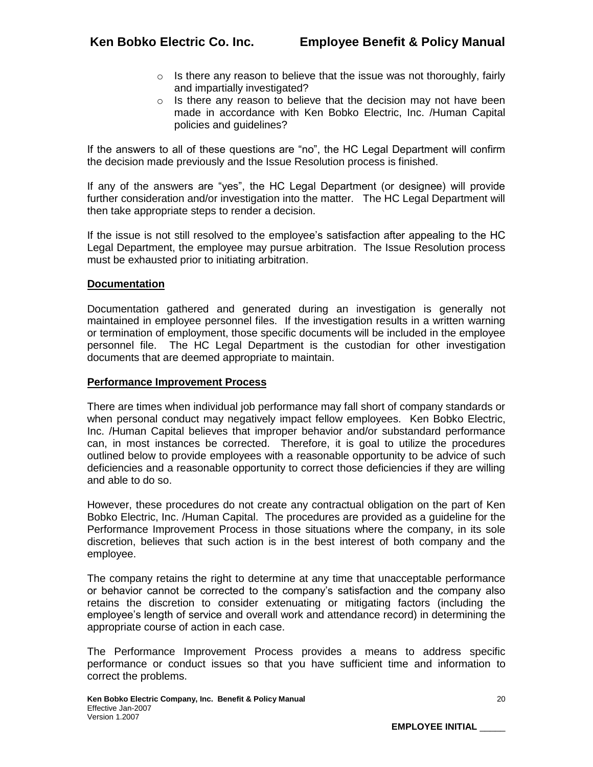- $\circ$  Is there any reason to believe that the issue was not thoroughly, fairly and impartially investigated?
- $\circ$  Is there any reason to believe that the decision may not have been made in accordance with Ken Bobko Electric, Inc. /Human Capital policies and guidelines?

If the answers to all of these questions are "no", the HC Legal Department will confirm the decision made previously and the Issue Resolution process is finished.

If any of the answers are "yes", the HC Legal Department (or designee) will provide further consideration and/or investigation into the matter. The HC Legal Department will then take appropriate steps to render a decision.

If the issue is not still resolved to the employee's satisfaction after appealing to the HC Legal Department, the employee may pursue arbitration. The Issue Resolution process must be exhausted prior to initiating arbitration.

## **Documentation**

Documentation gathered and generated during an investigation is generally not maintained in employee personnel files. If the investigation results in a written warning or termination of employment, those specific documents will be included in the employee personnel file. The HC Legal Department is the custodian for other investigation documents that are deemed appropriate to maintain.

#### **Performance Improvement Process**

There are times when individual job performance may fall short of company standards or when personal conduct may negatively impact fellow employees. Ken Bobko Electric, Inc. /Human Capital believes that improper behavior and/or substandard performance can, in most instances be corrected. Therefore, it is goal to utilize the procedures outlined below to provide employees with a reasonable opportunity to be advice of such deficiencies and a reasonable opportunity to correct those deficiencies if they are willing and able to do so.

However, these procedures do not create any contractual obligation on the part of Ken Bobko Electric, Inc. /Human Capital. The procedures are provided as a guideline for the Performance Improvement Process in those situations where the company, in its sole discretion, believes that such action is in the best interest of both company and the employee.

The company retains the right to determine at any time that unacceptable performance or behavior cannot be corrected to the company's satisfaction and the company also retains the discretion to consider extenuating or mitigating factors (including the employee's length of service and overall work and attendance record) in determining the appropriate course of action in each case.

The Performance Improvement Process provides a means to address specific performance or conduct issues so that you have sufficient time and information to correct the problems.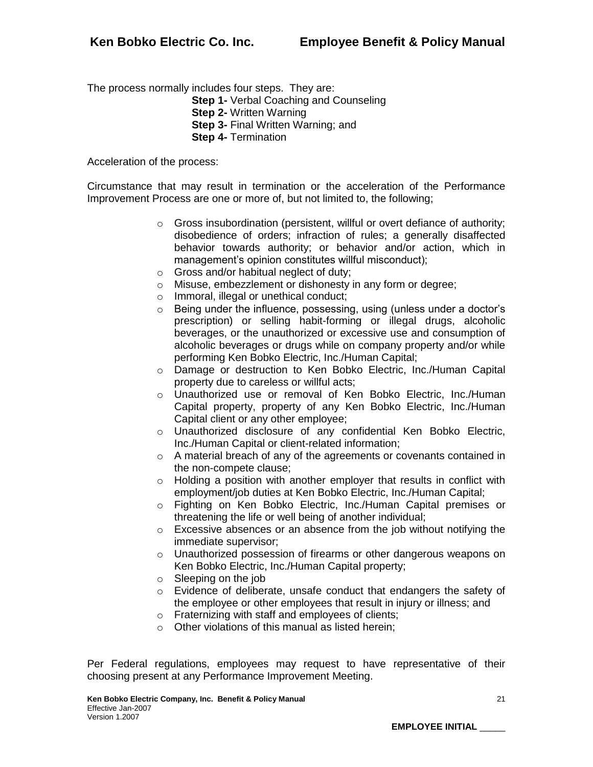The process normally includes four steps. They are:

- **Step 1-** Verbal Coaching and Counseling
- **Step 2-** Written Warning
- **Step 3- Final Written Warning: and**
- **Step 4-** Termination

Acceleration of the process:

Circumstance that may result in termination or the acceleration of the Performance Improvement Process are one or more of, but not limited to, the following;

- o Gross insubordination (persistent, willful or overt defiance of authority; disobedience of orders; infraction of rules; a generally disaffected behavior towards authority; or behavior and/or action, which in management's opinion constitutes willful misconduct);
- o Gross and/or habitual neglect of duty;
- o Misuse, embezzlement or dishonesty in any form or degree;
- o Immoral, illegal or unethical conduct;
- o Being under the influence, possessing, using (unless under a doctor's prescription) or selling habit-forming or illegal drugs, alcoholic beverages, or the unauthorized or excessive use and consumption of alcoholic beverages or drugs while on company property and/or while performing Ken Bobko Electric, Inc./Human Capital;
- o Damage or destruction to Ken Bobko Electric, Inc./Human Capital property due to careless or willful acts;
- o Unauthorized use or removal of Ken Bobko Electric, Inc./Human Capital property, property of any Ken Bobko Electric, Inc./Human Capital client or any other employee;
- o Unauthorized disclosure of any confidential Ken Bobko Electric, Inc./Human Capital or client-related information;
- o A material breach of any of the agreements or covenants contained in the non-compete clause;
- o Holding a position with another employer that results in conflict with employment/job duties at Ken Bobko Electric, Inc./Human Capital;
- o Fighting on Ken Bobko Electric, Inc./Human Capital premises or threatening the life or well being of another individual;
- $\circ$  Excessive absences or an absence from the job without notifying the immediate supervisor;
- o Unauthorized possession of firearms or other dangerous weapons on Ken Bobko Electric, Inc./Human Capital property;
- o Sleeping on the job
- o Evidence of deliberate, unsafe conduct that endangers the safety of the employee or other employees that result in injury or illness; and
- o Fraternizing with staff and employees of clients;
- o Other violations of this manual as listed herein;

Per Federal regulations, employees may request to have representative of their choosing present at any Performance Improvement Meeting.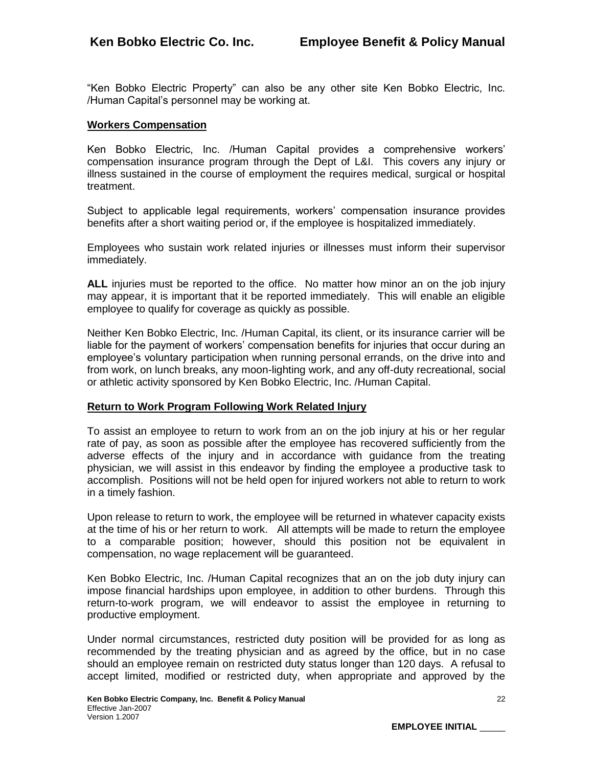"Ken Bobko Electric Property" can also be any other site Ken Bobko Electric, Inc. /Human Capital's personnel may be working at.

#### **Workers Compensation**

Ken Bobko Electric, Inc. /Human Capital provides a comprehensive workers' compensation insurance program through the Dept of L&I. This covers any injury or illness sustained in the course of employment the requires medical, surgical or hospital treatment.

Subject to applicable legal requirements, workers' compensation insurance provides benefits after a short waiting period or, if the employee is hospitalized immediately.

Employees who sustain work related injuries or illnesses must inform their supervisor immediately.

**ALL** injuries must be reported to the office. No matter how minor an on the job injury may appear, it is important that it be reported immediately. This will enable an eligible employee to qualify for coverage as quickly as possible.

Neither Ken Bobko Electric, Inc. /Human Capital, its client, or its insurance carrier will be liable for the payment of workers' compensation benefits for injuries that occur during an employee's voluntary participation when running personal errands, on the drive into and from work, on lunch breaks, any moon-lighting work, and any off-duty recreational, social or athletic activity sponsored by Ken Bobko Electric, Inc. /Human Capital.

## **Return to Work Program Following Work Related Injury**

To assist an employee to return to work from an on the job injury at his or her regular rate of pay, as soon as possible after the employee has recovered sufficiently from the adverse effects of the injury and in accordance with guidance from the treating physician, we will assist in this endeavor by finding the employee a productive task to accomplish. Positions will not be held open for injured workers not able to return to work in a timely fashion.

Upon release to return to work, the employee will be returned in whatever capacity exists at the time of his or her return to work. All attempts will be made to return the employee to a comparable position; however, should this position not be equivalent in compensation, no wage replacement will be guaranteed.

Ken Bobko Electric, Inc. /Human Capital recognizes that an on the job duty injury can impose financial hardships upon employee, in addition to other burdens. Through this return-to-work program, we will endeavor to assist the employee in returning to productive employment.

Under normal circumstances, restricted duty position will be provided for as long as recommended by the treating physician and as agreed by the office, but in no case should an employee remain on restricted duty status longer than 120 days. A refusal to accept limited, modified or restricted duty, when appropriate and approved by the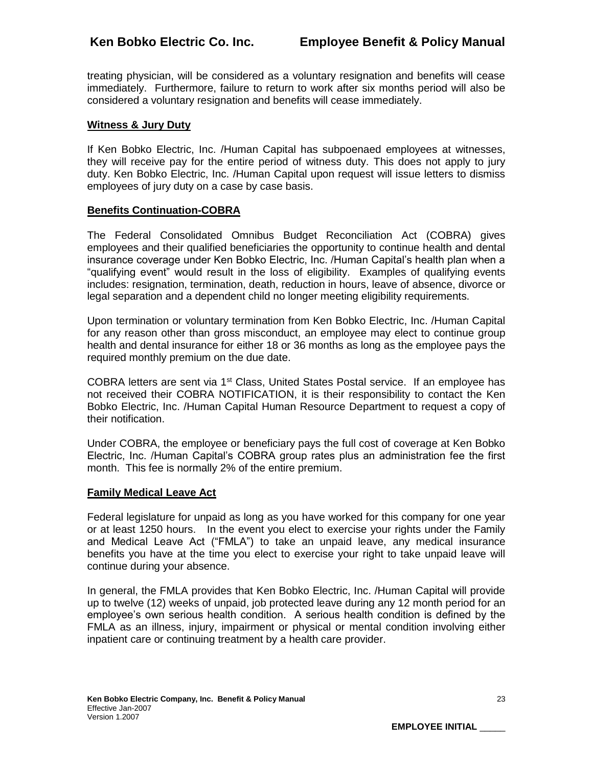treating physician, will be considered as a voluntary resignation and benefits will cease immediately. Furthermore, failure to return to work after six months period will also be considered a voluntary resignation and benefits will cease immediately.

# **Witness & Jury Duty**

If Ken Bobko Electric, Inc. /Human Capital has subpoenaed employees at witnesses, they will receive pay for the entire period of witness duty. This does not apply to jury duty. Ken Bobko Electric, Inc. /Human Capital upon request will issue letters to dismiss employees of jury duty on a case by case basis.

## **Benefits Continuation-COBRA**

The Federal Consolidated Omnibus Budget Reconciliation Act (COBRA) gives employees and their qualified beneficiaries the opportunity to continue health and dental insurance coverage under Ken Bobko Electric, Inc. /Human Capital's health plan when a "qualifying event" would result in the loss of eligibility. Examples of qualifying events includes: resignation, termination, death, reduction in hours, leave of absence, divorce or legal separation and a dependent child no longer meeting eligibility requirements.

Upon termination or voluntary termination from Ken Bobko Electric, Inc. /Human Capital for any reason other than gross misconduct, an employee may elect to continue group health and dental insurance for either 18 or 36 months as long as the employee pays the required monthly premium on the due date.

COBRA letters are sent via  $1<sup>st</sup>$  Class, United States Postal service. If an employee has not received their COBRA NOTIFICATION, it is their responsibility to contact the Ken Bobko Electric, Inc. /Human Capital Human Resource Department to request a copy of their notification.

Under COBRA, the employee or beneficiary pays the full cost of coverage at Ken Bobko Electric, Inc. /Human Capital's COBRA group rates plus an administration fee the first month. This fee is normally 2% of the entire premium.

## **Family Medical Leave Act**

Federal legislature for unpaid as long as you have worked for this company for one year or at least 1250 hours. In the event you elect to exercise your rights under the Family and Medical Leave Act ("FMLA") to take an unpaid leave, any medical insurance benefits you have at the time you elect to exercise your right to take unpaid leave will continue during your absence.

In general, the FMLA provides that Ken Bobko Electric, Inc. /Human Capital will provide up to twelve (12) weeks of unpaid, job protected leave during any 12 month period for an employee's own serious health condition. A serious health condition is defined by the FMLA as an illness, injury, impairment or physical or mental condition involving either inpatient care or continuing treatment by a health care provider.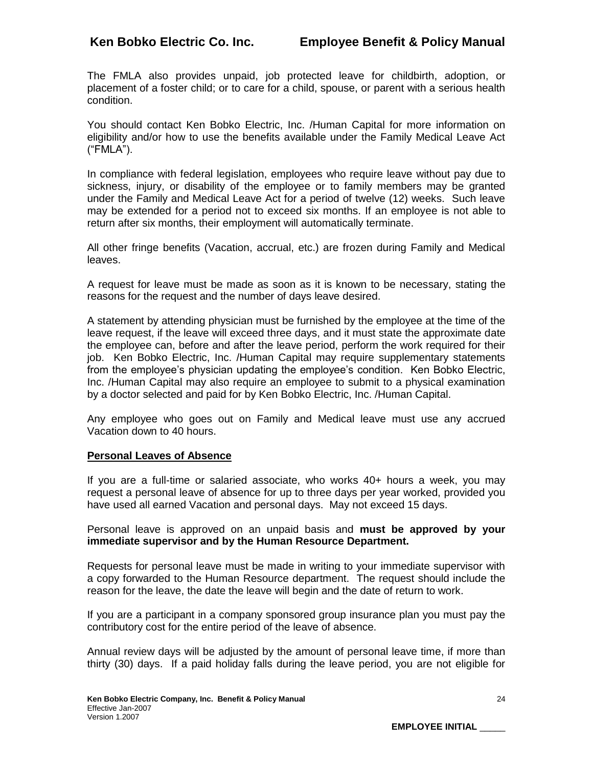The FMLA also provides unpaid, job protected leave for childbirth, adoption, or placement of a foster child; or to care for a child, spouse, or parent with a serious health condition.

You should contact Ken Bobko Electric, Inc. /Human Capital for more information on eligibility and/or how to use the benefits available under the Family Medical Leave Act ("FMLA").

In compliance with federal legislation, employees who require leave without pay due to sickness, injury, or disability of the employee or to family members may be granted under the Family and Medical Leave Act for a period of twelve (12) weeks. Such leave may be extended for a period not to exceed six months. If an employee is not able to return after six months, their employment will automatically terminate.

All other fringe benefits (Vacation, accrual, etc.) are frozen during Family and Medical leaves.

A request for leave must be made as soon as it is known to be necessary, stating the reasons for the request and the number of days leave desired.

A statement by attending physician must be furnished by the employee at the time of the leave request, if the leave will exceed three days, and it must state the approximate date the employee can, before and after the leave period, perform the work required for their job. Ken Bobko Electric, Inc. /Human Capital may require supplementary statements from the employee's physician updating the employee's condition. Ken Bobko Electric, Inc. /Human Capital may also require an employee to submit to a physical examination by a doctor selected and paid for by Ken Bobko Electric, Inc. /Human Capital.

Any employee who goes out on Family and Medical leave must use any accrued Vacation down to 40 hours.

## **Personal Leaves of Absence**

If you are a full-time or salaried associate, who works 40+ hours a week, you may request a personal leave of absence for up to three days per year worked, provided you have used all earned Vacation and personal days. May not exceed 15 days.

Personal leave is approved on an unpaid basis and **must be approved by your immediate supervisor and by the Human Resource Department.**

Requests for personal leave must be made in writing to your immediate supervisor with a copy forwarded to the Human Resource department. The request should include the reason for the leave, the date the leave will begin and the date of return to work.

If you are a participant in a company sponsored group insurance plan you must pay the contributory cost for the entire period of the leave of absence.

Annual review days will be adjusted by the amount of personal leave time, if more than thirty (30) days. If a paid holiday falls during the leave period, you are not eligible for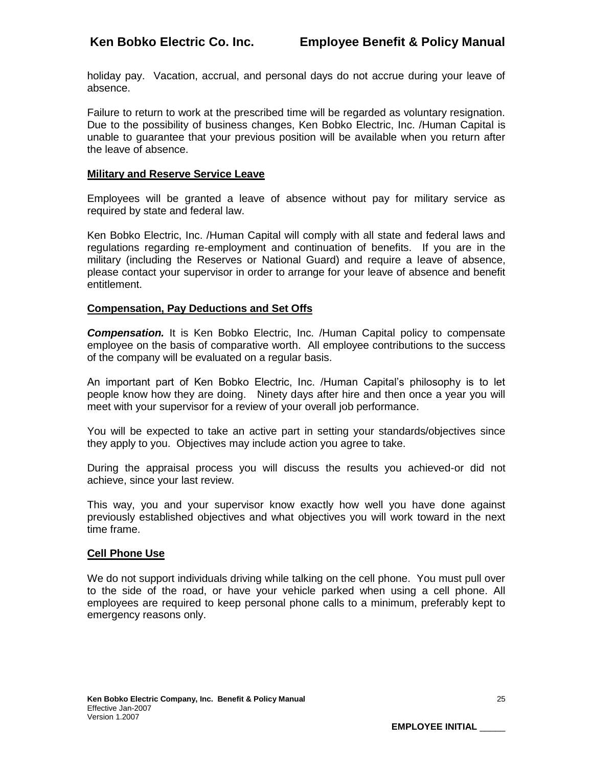holiday pay. Vacation, accrual, and personal days do not accrue during your leave of absence.

Failure to return to work at the prescribed time will be regarded as voluntary resignation. Due to the possibility of business changes, Ken Bobko Electric, Inc. /Human Capital is unable to guarantee that your previous position will be available when you return after the leave of absence.

#### **Military and Reserve Service Leave**

Employees will be granted a leave of absence without pay for military service as required by state and federal law.

Ken Bobko Electric, Inc. /Human Capital will comply with all state and federal laws and regulations regarding re-employment and continuation of benefits. If you are in the military (including the Reserves or National Guard) and require a leave of absence, please contact your supervisor in order to arrange for your leave of absence and benefit entitlement.

#### **Compensation, Pay Deductions and Set Offs**

*Compensation.* It is Ken Bobko Electric, Inc. /Human Capital policy to compensate employee on the basis of comparative worth. All employee contributions to the success of the company will be evaluated on a regular basis.

An important part of Ken Bobko Electric, Inc. /Human Capital's philosophy is to let people know how they are doing. Ninety days after hire and then once a year you will meet with your supervisor for a review of your overall job performance.

You will be expected to take an active part in setting your standards/objectives since they apply to you. Objectives may include action you agree to take.

During the appraisal process you will discuss the results you achieved-or did not achieve, since your last review.

This way, you and your supervisor know exactly how well you have done against previously established objectives and what objectives you will work toward in the next time frame.

#### **Cell Phone Use**

We do not support individuals driving while talking on the cell phone. You must pull over to the side of the road, or have your vehicle parked when using a cell phone. All employees are required to keep personal phone calls to a minimum, preferably kept to emergency reasons only.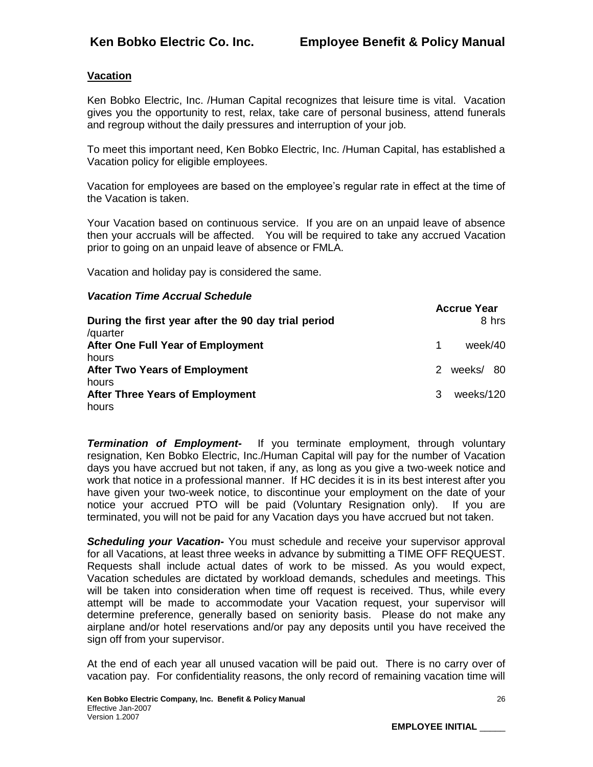# **Vacation**

Ken Bobko Electric, Inc. /Human Capital recognizes that leisure time is vital. Vacation gives you the opportunity to rest, relax, take care of personal business, attend funerals and regroup without the daily pressures and interruption of your job.

To meet this important need, Ken Bobko Electric, Inc. /Human Capital, has established a Vacation policy for eligible employees.

Vacation for employees are based on the employee's regular rate in effect at the time of the Vacation is taken.

Your Vacation based on continuous service. If you are on an unpaid leave of absence then your accruals will be affected. You will be required to take any accrued Vacation prior to going on an unpaid leave of absence or FMLA.

Vacation and holiday pay is considered the same.

# *Vacation Time Accrual Schedule*

| During the first year after the 90 day trial period<br>/quarter |   | Accrue rear | 8 hrs |
|-----------------------------------------------------------------|---|-------------|-------|
| After One Full Year of Employment                               | 1 | week/40     |       |
| hours                                                           |   |             |       |
| <b>After Two Years of Employment</b>                            | 2 | weeks/ 80   |       |
| hours                                                           |   |             |       |
| <b>After Three Years of Employment</b>                          | 3 | weeks/120   |       |
| hours                                                           |   |             |       |

**Termination of Employment-** If you terminate employment, through voluntary resignation, Ken Bobko Electric, Inc./Human Capital will pay for the number of Vacation days you have accrued but not taken, if any, as long as you give a two-week notice and work that notice in a professional manner. If HC decides it is in its best interest after you have given your two-week notice, to discontinue your employment on the date of your notice your accrued PTO will be paid (Voluntary Resignation only). If you are terminated, you will not be paid for any Vacation days you have accrued but not taken.

**Scheduling your Vacation-** You must schedule and receive your supervisor approval for all Vacations, at least three weeks in advance by submitting a TIME OFF REQUEST. Requests shall include actual dates of work to be missed. As you would expect, Vacation schedules are dictated by workload demands, schedules and meetings. This will be taken into consideration when time off request is received. Thus, while every attempt will be made to accommodate your Vacation request, your supervisor will determine preference, generally based on seniority basis. Please do not make any airplane and/or hotel reservations and/or pay any deposits until you have received the sign off from your supervisor.

At the end of each year all unused vacation will be paid out. There is no carry over of vacation pay. For confidentiality reasons, the only record of remaining vacation time will

**Accrue Year**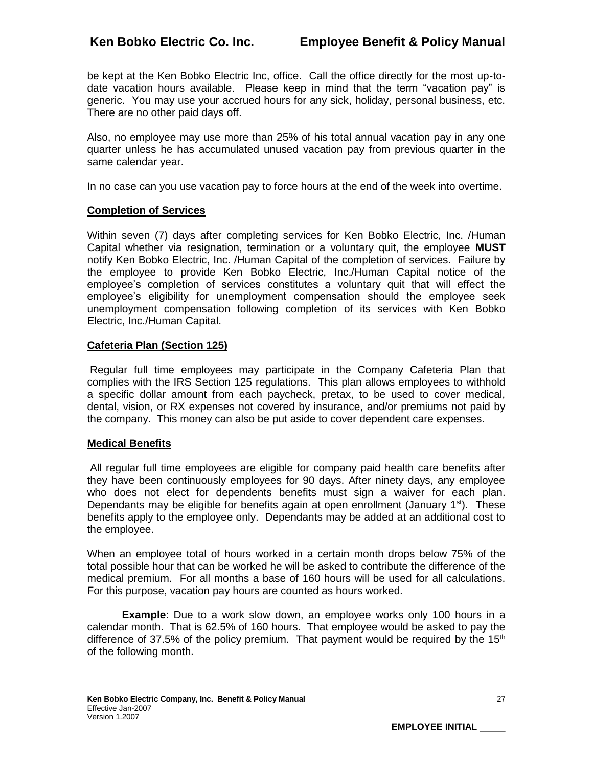be kept at the Ken Bobko Electric Inc, office. Call the office directly for the most up-todate vacation hours available. Please keep in mind that the term "vacation pay" is generic. You may use your accrued hours for any sick, holiday, personal business, etc. There are no other paid days off.

Also, no employee may use more than 25% of his total annual vacation pay in any one quarter unless he has accumulated unused vacation pay from previous quarter in the same calendar year.

In no case can you use vacation pay to force hours at the end of the week into overtime.

## **Completion of Services**

Within seven (7) days after completing services for Ken Bobko Electric, Inc. /Human Capital whether via resignation, termination or a voluntary quit, the employee **MUST**  notify Ken Bobko Electric, Inc. /Human Capital of the completion of services. Failure by the employee to provide Ken Bobko Electric, Inc./Human Capital notice of the employee's completion of services constitutes a voluntary quit that will effect the employee's eligibility for unemployment compensation should the employee seek unemployment compensation following completion of its services with Ken Bobko Electric, Inc./Human Capital.

## **Cafeteria Plan (Section 125)**

Regular full time employees may participate in the Company Cafeteria Plan that complies with the IRS Section 125 regulations. This plan allows employees to withhold a specific dollar amount from each paycheck, pretax, to be used to cover medical, dental, vision, or RX expenses not covered by insurance, and/or premiums not paid by the company. This money can also be put aside to cover dependent care expenses.

## **Medical Benefits**

All regular full time employees are eligible for company paid health care benefits after they have been continuously employees for 90 days. After ninety days, any employee who does not elect for dependents benefits must sign a waiver for each plan. Dependants may be eligible for benefits again at open enrollment (January  $1<sup>st</sup>$ ). These benefits apply to the employee only. Dependants may be added at an additional cost to the employee.

When an employee total of hours worked in a certain month drops below 75% of the total possible hour that can be worked he will be asked to contribute the difference of the medical premium. For all months a base of 160 hours will be used for all calculations. For this purpose, vacation pay hours are counted as hours worked.

**Example**: Due to a work slow down, an employee works only 100 hours in a calendar month. That is 62.5% of 160 hours. That employee would be asked to pay the difference of 37.5% of the policy premium. That payment would be required by the  $15<sup>th</sup>$ of the following month.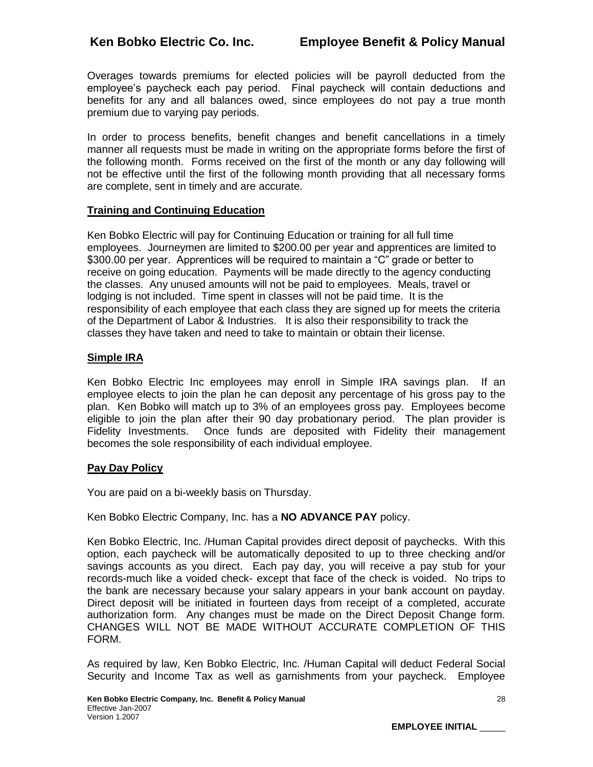Overages towards premiums for elected policies will be payroll deducted from the employee's paycheck each pay period. Final paycheck will contain deductions and benefits for any and all balances owed, since employees do not pay a true month premium due to varying pay periods.

In order to process benefits, benefit changes and benefit cancellations in a timely manner all requests must be made in writing on the appropriate forms before the first of the following month. Forms received on the first of the month or any day following will not be effective until the first of the following month providing that all necessary forms are complete, sent in timely and are accurate.

# **Training and Continuing Education**

Ken Bobko Electric will pay for Continuing Education or training for all full time employees. Journeymen are limited to \$200.00 per year and apprentices are limited to \$300.00 per year. Apprentices will be required to maintain a "C" grade or better to receive on going education. Payments will be made directly to the agency conducting the classes. Any unused amounts will not be paid to employees. Meals, travel or lodging is not included. Time spent in classes will not be paid time. It is the responsibility of each employee that each class they are signed up for meets the criteria of the Department of Labor & Industries. It is also their responsibility to track the classes they have taken and need to take to maintain or obtain their license.

# **Simple IRA**

Ken Bobko Electric Inc employees may enroll in Simple IRA savings plan. If an employee elects to join the plan he can deposit any percentage of his gross pay to the plan. Ken Bobko will match up to 3% of an employees gross pay. Employees become eligible to join the plan after their 90 day probationary period. The plan provider is Fidelity Investments. Once funds are deposited with Fidelity their management becomes the sole responsibility of each individual employee.

## **Pay Day Policy**

You are paid on a bi-weekly basis on Thursday.

Ken Bobko Electric Company, Inc. has a **NO ADVANCE PAY** policy.

Ken Bobko Electric, Inc. /Human Capital provides direct deposit of paychecks. With this option, each paycheck will be automatically deposited to up to three checking and/or savings accounts as you direct. Each pay day, you will receive a pay stub for your records-much like a voided check- except that face of the check is voided. No trips to the bank are necessary because your salary appears in your bank account on payday. Direct deposit will be initiated in fourteen days from receipt of a completed, accurate authorization form. Any changes must be made on the Direct Deposit Change form. CHANGES WILL NOT BE MADE WITHOUT ACCURATE COMPLETION OF THIS FORM.

As required by law, Ken Bobko Electric, Inc. /Human Capital will deduct Federal Social Security and Income Tax as well as garnishments from your paycheck. Employee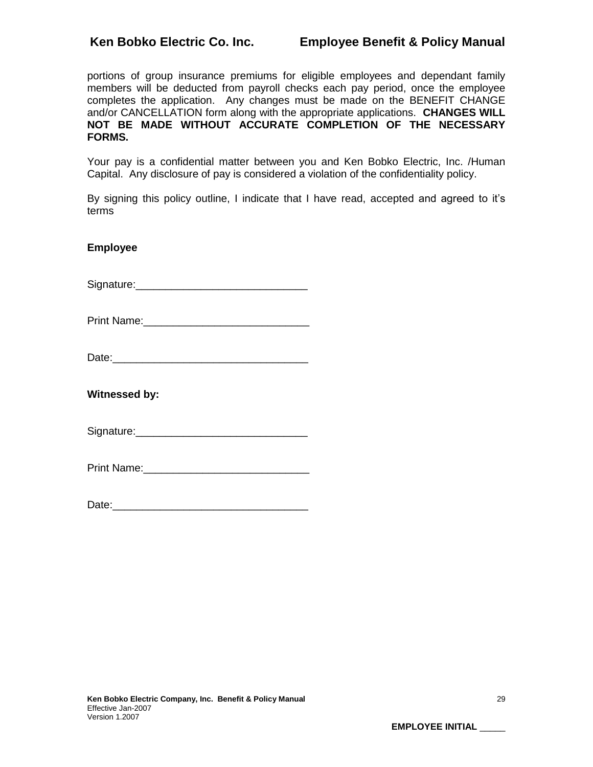portions of group insurance premiums for eligible employees and dependant family members will be deducted from payroll checks each pay period, once the employee completes the application. Any changes must be made on the BENEFIT CHANGE and/or CANCELLATION form along with the appropriate applications. **CHANGES WILL NOT BE MADE WITHOUT ACCURATE COMPLETION OF THE NECESSARY FORMS.**

Your pay is a confidential matter between you and Ken Bobko Electric, Inc. /Human Capital. Any disclosure of pay is considered a violation of the confidentiality policy.

By signing this policy outline, I indicate that I have read, accepted and agreed to it's terms

## **Employee**

Signature:

Print Name:

| Date: |  |
|-------|--|
|       |  |

**Witnessed by:**

Signature:\_\_\_\_\_\_\_\_\_\_\_\_\_\_\_\_\_\_\_\_\_\_\_\_\_\_\_\_\_

| Date: |  |  |
|-------|--|--|
|       |  |  |